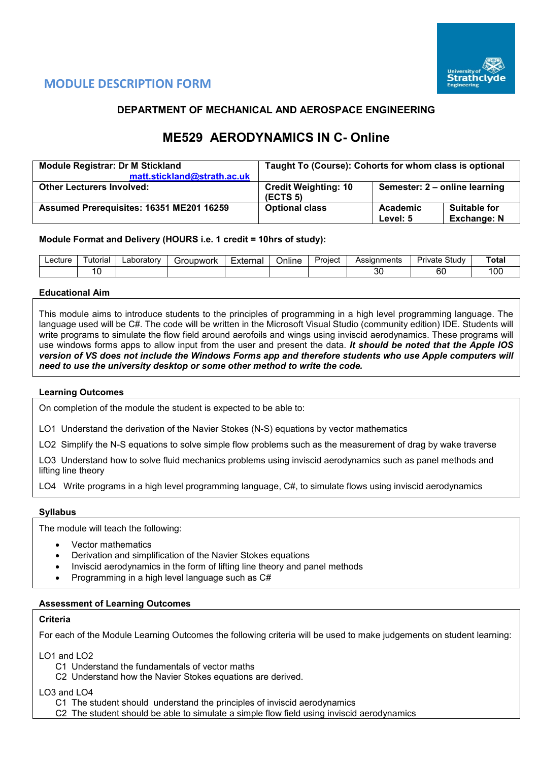

# **MODULE DESCRIPTION FORM**

## **DEPARTMENT OF MECHANICAL AND AEROSPACE ENGINEERING**

# **ME529 AERODYNAMICS IN C- Online**

| <b>Module Registrar: Dr M Stickland</b>  | Taught To (Course): Cohorts for whom class is optional |                               |                                           |  |  |  |  |
|------------------------------------------|--------------------------------------------------------|-------------------------------|-------------------------------------------|--|--|--|--|
| matt.stickland@strath.ac.uk              |                                                        |                               |                                           |  |  |  |  |
| <b>Other Lecturers Involved:</b>         | <b>Credit Weighting: 10</b><br>(ECTS <sub>5</sub> )    | Semester: 2 - online learning |                                           |  |  |  |  |
| Assumed Prerequisites: 16351 ME201 16259 | <b>Optional class</b>                                  | Academic<br>Level: 5          | <b>Suitable for</b><br><b>Exchange: N</b> |  |  |  |  |

## **Module Format and Delivery (HOURS i.e. 1 credit = 10hrs of study):**

| ∟ecture | $\overline{\phantom{0}}$<br>utor<br>riai. | ∟aborator∨ | `roupwork<br>۱c. | External | . .<br><b>Jnline</b> | ⊵roiect | Assignments | Study<br>Private | `ota. |
|---------|-------------------------------------------|------------|------------------|----------|----------------------|---------|-------------|------------------|-------|
|         |                                           |            |                  |          |                      |         | ົ<br>υc     | оι               | 10C   |

## **Educational Aim**

This module aims to introduce students to the principles of programming in a high level programming language. The language used will be C#. The code will be written in the Microsoft Visual Studio (community edition) IDE. Students will write programs to simulate the flow field around aerofoils and wings using inviscid aerodynamics. These programs will use windows forms apps to allow input from the user and present the data. *It should be noted that the Apple IOS version of VS does not include the Windows Forms app and therefore students who use Apple computers will need to use the university desktop or some other method to write the code.*

## **Learning Outcomes**

On completion of the module the student is expected to be able to:

LO1 Understand the derivation of the Navier Stokes (N-S) equations by vector mathematics

LO2 Simplify the N-S equations to solve simple flow problems such as the measurement of drag by wake traverse

LO3 Understand how to solve fluid mechanics problems using inviscid aerodynamics such as panel methods and lifting line theory

LO4 Write programs in a high level programming language, C#, to simulate flows using inviscid aerodynamics

## **Syllabus**

The module will teach the following:

- Vector mathematics
- Derivation and simplification of the Navier Stokes equations
- Inviscid aerodynamics in the form of lifting line theory and panel methods
- Programming in a high level language such as C#

## **Assessment of Learning Outcomes**

#### **Criteria**

For each of the Module Learning Outcomes the following criteria will be used to make judgements on student learning:

LO1 and LO2

- C1 Understand the fundamentals of vector maths
- C2 Understand how the Navier Stokes equations are derived.

LO3 and LO4

- C1 The student should understand the principles of inviscid aerodynamics
- C2 The student should be able to simulate a simple flow field using inviscid aerodynamics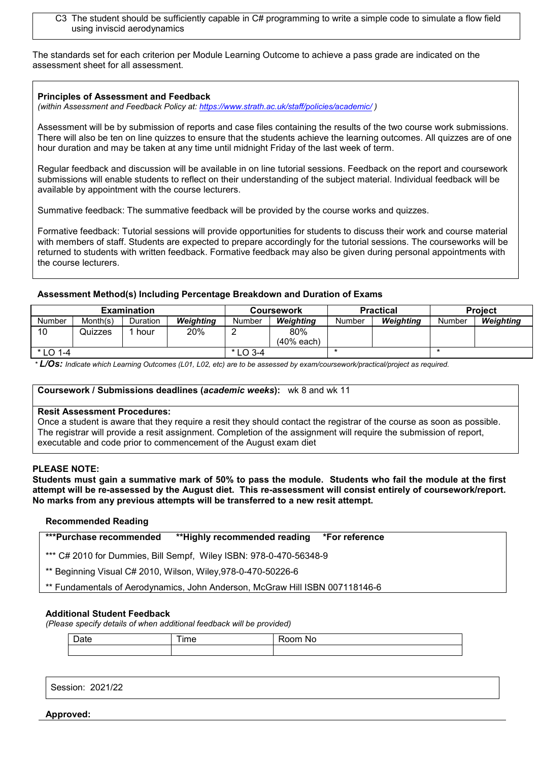C3 The student should be sufficiently capable in C# programming to write a simple code to simulate a flow field using inviscid aerodynamics

The standards set for each criterion per Module Learning Outcome to achieve a pass grade are indicated on the assessment sheet for all assessment.

#### **Principles of Assessment and Feedback**

*(within Assessment and Feedback Policy at: <https://www.strath.ac.uk/staff/policies/academic/> )*

Assessment will be by submission of reports and case files containing the results of the two course work submissions. There will also be ten on line quizzes to ensure that the students achieve the learning outcomes. All quizzes are of one hour duration and may be taken at any time until midnight Friday of the last week of term.

Regular feedback and discussion will be available in on line tutorial sessions. Feedback on the report and coursework submissions will enable students to reflect on their understanding of the subject material. Individual feedback will be available by appointment with the course lecturers.

Summative feedback: The summative feedback will be provided by the course works and quizzes.

Formative feedback: Tutorial sessions will provide opportunities for students to discuss their work and course material with members of staff. Students are expected to prepare accordingly for the tutorial sessions. The courseworks will be returned to students with written feedback. Formative feedback may also be given during personal appointments with the course lecturers.

#### **Assessment Method(s) Including Percentage Breakdown and Duration of Exams**

|             |          | <b>Examination</b> |           |            | <b>Coursework</b>   |        | <b>Practical</b> | <b>Project</b> |           |  |
|-------------|----------|--------------------|-----------|------------|---------------------|--------|------------------|----------------|-----------|--|
| Number      | Month(s) | Duration           | Weiahtina | Number     | Weiahtina           | Number | Weiahtina        | Number         | Weighting |  |
| 10          | Quizzes  | hour               | 20%       |            | 80%<br>$(40%$ each) |        |                  |                |           |  |
| $*$ I O 1-4 |          |                    |           | $*$ LO 3-4 |                     |        |                  |                |           |  |

*\* L/Os: Indicate which Learning Outcomes (L01, L02, etc) are to be assessed by exam/coursework/practical/project as required.*

#### **Coursework / Submissions deadlines (***academic weeks***):** wk 8 and wk 11

#### **Resit Assessment Procedures:**

Once a student is aware that they require a resit they should contact the registrar of the course as soon as possible. The registrar will provide a resit assignment. Completion of the assignment will require the submission of report, executable and code prior to commencement of the August exam diet

#### **PLEASE NOTE:**

**Students must gain a summative mark of 50% to pass the module. Students who fail the module at the first attempt will be re-assessed by the August diet. This re-assessment will consist entirely of coursework/report. No marks from any previous attempts will be transferred to a new resit attempt.**

#### **Recommended Reading**

| <b>***Purchase recommended</b><br>**Highly recommended reading<br>*For reference |  |
|----------------------------------------------------------------------------------|--|
|----------------------------------------------------------------------------------|--|

\*\*\* C# 2010 for Dummies, Bill Sempf, Wiley ISBN: 978-0-470-56348-9

\*\* Beginning Visual C# 2010, Wilson, Wiley,978-0-470-50226-6

\*\* Fundamentals of Aerodynamics, John Anderson, McGraw Hill ISBN 007118146-6

## **Additional Student Feedback**

*(Please specify details of when additional feedback will be provided)*

| $\overline{\phantom{0}}$ | $\overline{\phantom{a}}$ | - -- - |
|--------------------------|--------------------------|--------|
| ∟ote                     | טו                       | N/     |
|                          |                          |        |

Session: 2021/22

**Approved:**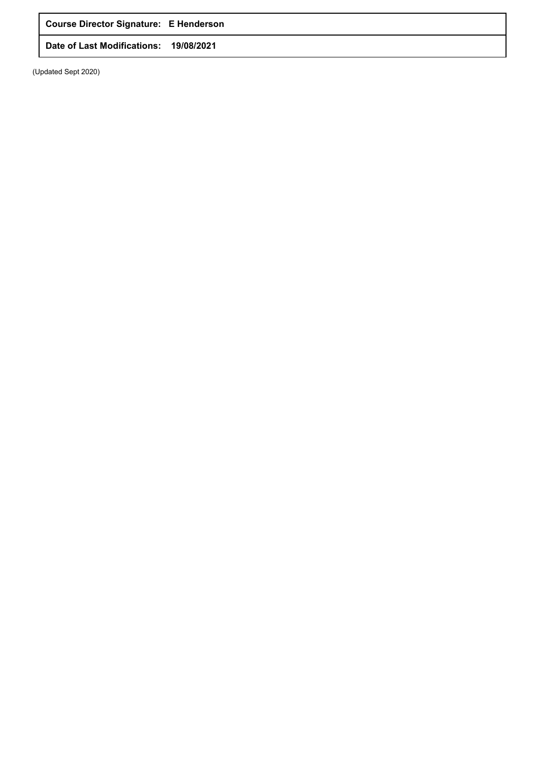**Course Director Signature: E Henderson**

**Date of Last Modifications: 19/08/2021**

(Updated Sept 2020)